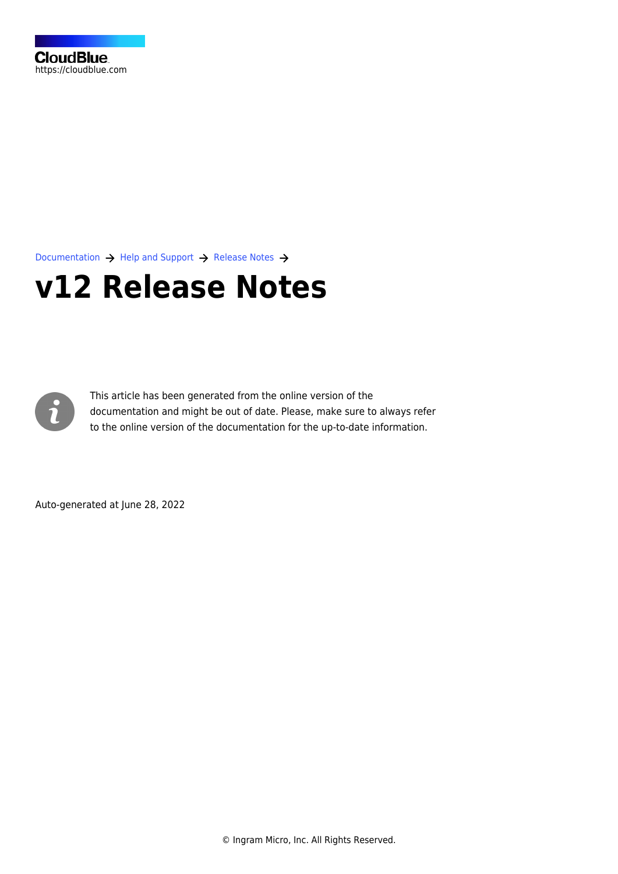

[Documentation](https://connect.cloudblue.com/documentation)  $\rightarrow$  [Help and Support](https://connect.cloudblue.com/community/help/)  $\rightarrow$  [Release Notes](https://connect.cloudblue.com/community/help/release-notes/)  $\rightarrow$ 

# **[v12 Release Notes](https://connect.cloudblue.com/community/help/release-notes/v12/)**



This article has been generated from the online version of the documentation and might be out of date. Please, make sure to always refer to the online version of the documentation for the up-to-date information.

Auto-generated at June 28, 2022